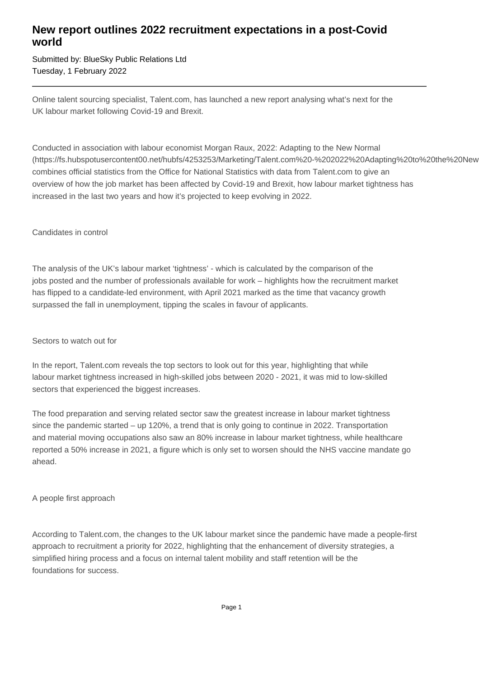## **New report outlines 2022 recruitment expectations in a post-Covid world**

Submitted by: BlueSky Public Relations Ltd Tuesday, 1 February 2022

Online talent sourcing specialist, Talent.com, has launched a new report analysing what's next for the UK labour market following Covid-19 and Brexit.

Conducted in association with labour economist Morgan Raux, 2022: Adapting to the New Normal (https://fs.hubspotusercontent00.net/hubfs/4253253/Marketing/Talent.com%20-%202022%20Adapting%20to%20the%20New combines official statistics from the Office for National Statistics with data from Talent.com to give an overview of how the job market has been affected by Covid-19 and Brexit, how labour market tightness has increased in the last two years and how it's projected to keep evolving in 2022.

#### Candidates in control

The analysis of the UK's labour market 'tightness' - which is calculated by the comparison of the jobs posted and the number of professionals available for work – highlights how the recruitment market has flipped to a candidate-led environment, with April 2021 marked as the time that vacancy growth surpassed the fall in unemployment, tipping the scales in favour of applicants.

#### Sectors to watch out for

In the report, Talent.com reveals the top sectors to look out for this year, highlighting that while labour market tightness increased in high-skilled jobs between 2020 - 2021, it was mid to low-skilled sectors that experienced the biggest increases.

The food preparation and serving related sector saw the greatest increase in labour market tightness since the pandemic started – up 120%, a trend that is only going to continue in 2022. Transportation and material moving occupations also saw an 80% increase in labour market tightness, while healthcare reported a 50% increase in 2021, a figure which is only set to worsen should the NHS vaccine mandate go ahead.

### A people first approach

According to Talent.com, the changes to the UK labour market since the pandemic have made a people-first approach to recruitment a priority for 2022, highlighting that the enhancement of diversity strategies, a simplified hiring process and a focus on internal talent mobility and staff retention will be the foundations for success.